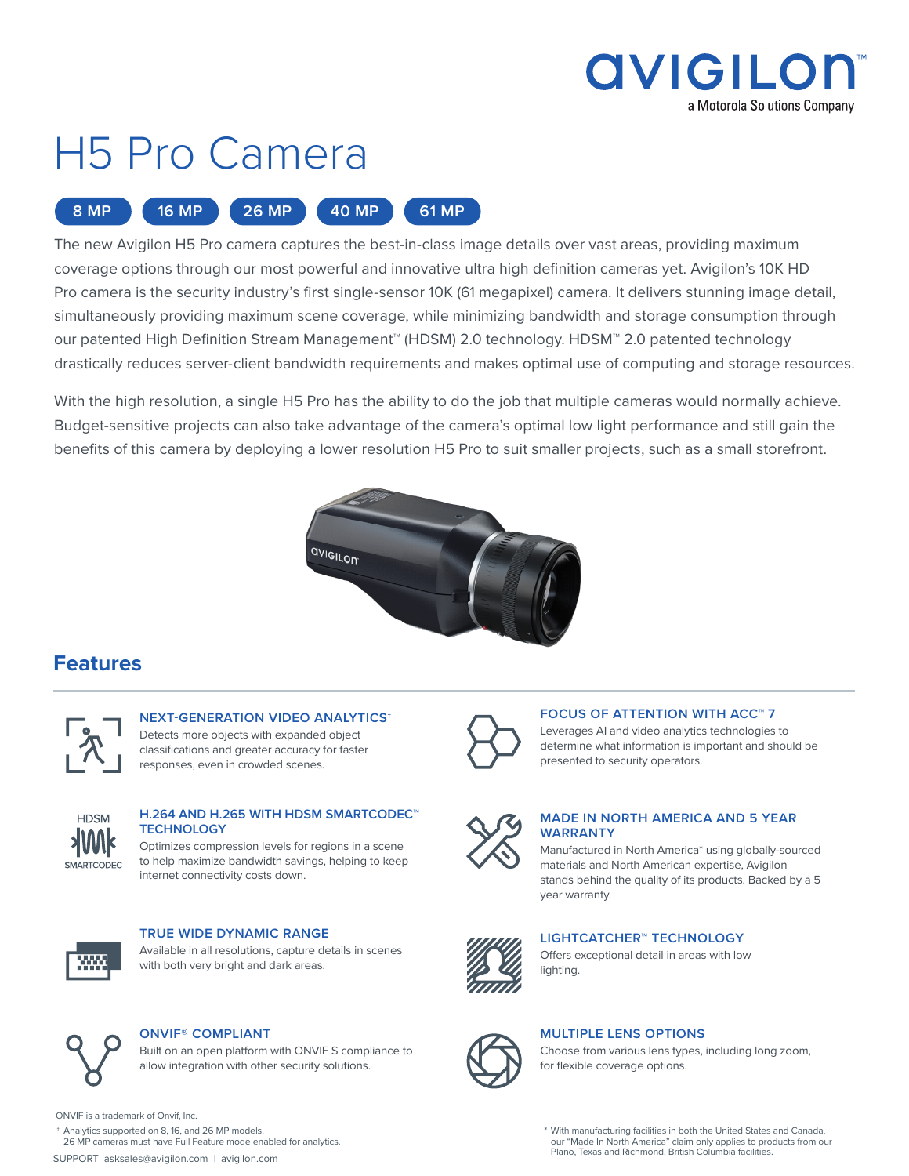

# H5 Pro Camera



The new Avigilon H5 Pro camera captures the best-in-class image details over vast areas, providing maximum coverage options through our most powerful and innovative ultra high definition cameras yet. Avigilon's 10K HD Pro camera is the security industry's first single-sensor 10K (61 megapixel) camera. It delivers stunning image detail, simultaneously providing maximum scene coverage, while minimizing bandwidth and storage consumption through our patented High Definition Stream Management™ (HDSM) 2.0 technology. HDSM™ 2.0 patented technology drastically reduces server-client bandwidth requirements and makes optimal use of computing and storage resources.

With the high resolution, a single H5 Pro has the ability to do the job that multiple cameras would normally achieve. Budget-sensitive projects can also take advantage of the camera's optimal low light performance and still gain the benefits of this camera by deploying a lower resolution H5 Pro to suit smaller projects, such as a small storefront.



### **Features**



**NEXT-GENERATION VIDEO ANALYTICS**† Detects more objects with expanded object classifications and greater accuracy for faster responses, even in crowded scenes.



### **H.264 AND H.265 WITH HDSM SMARTCODEC™ TECHNOLOGY**

Optimizes compression levels for regions in a scene to help maximize bandwidth savings, helping to keep internet connectivity costs down.



**TRUE WIDE DYNAMIC RANGE** Available in all resolutions, capture details in scenes

with both very bright and dark areas.



### **ONVIF® COMPLIANT**

Built on an open platform with ONVIF S compliance to allow integration with other security solutions.

#### **FOCUS OF ATTENTION WITH ACC™ 7**

Leverages AI and video analytics technologies to determine what information is important and should be presented to security operators.



#### **MADE IN NORTH AMERICA AND 5 YEAR WARRANTY**

Manufactured in North America\* using globally-sourced materials and North American expertise, Avigilon stands behind the quality of its products. Backed by a 5 year warranty.



**LIGHTCATCHER™ TECHNOLOGY** Offers exceptional detail in areas with low



#### **MULTIPLE LENS OPTIONS**

lighting.

Choose from various lens types, including long zoom, for flexible coverage options.

ONVIF is a trademark of Onvif, Inc.

† Analytics supported on 8, 16, and 26 MP models. 26 MP cameras must have Full Feature mode enabled for analytics.

SUPPORT asksales@avigilon.com | avigilon.com

\* With manufacturing facilities in both the United States and Canada, our "Made In North America" claim only applies to products from our Plano, Texas and Richmond, British Columbia facilities.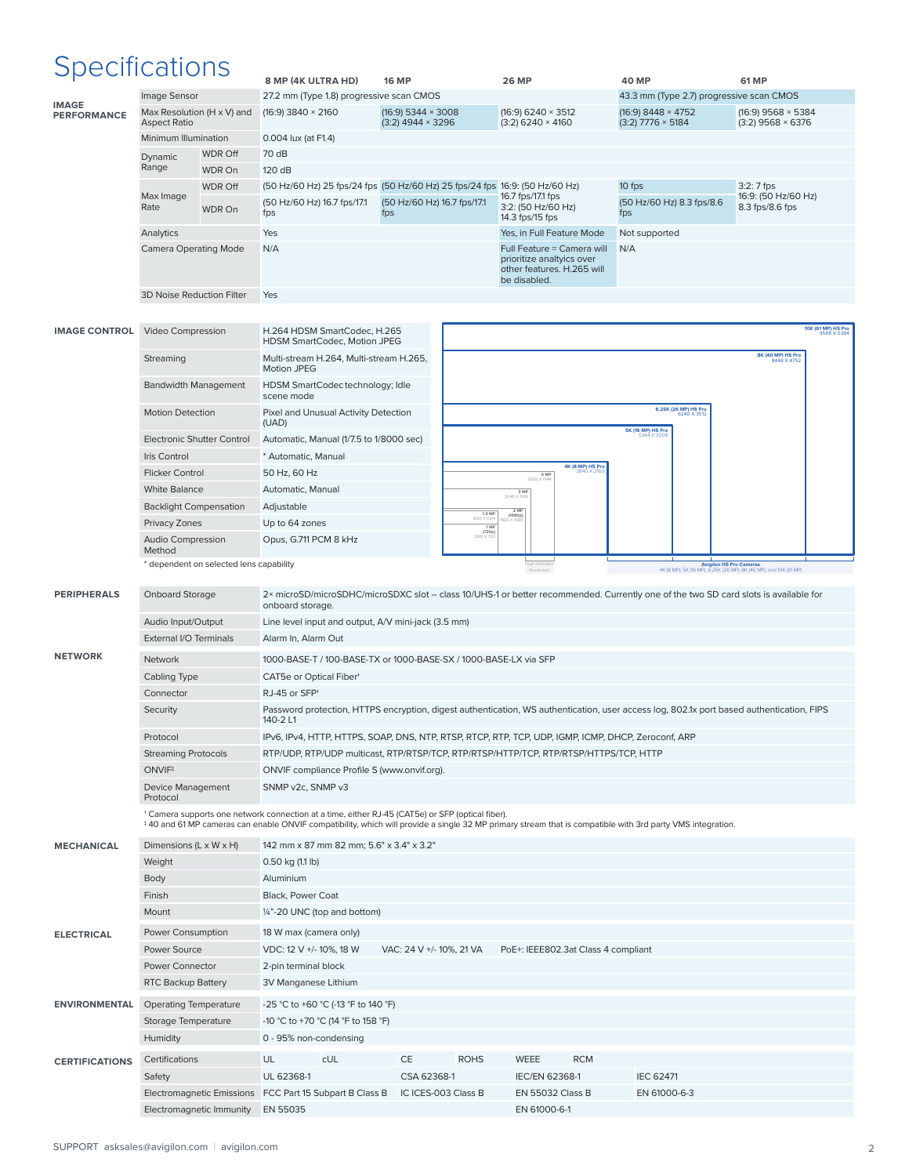# Specifications

| upuunuunu                          |                                    |                                         | 8 MP (4K ULTRA HD)                                                                                                                                        | <b>16 MP</b>                   | <b>26 MP</b>                                                                                                                             | <b>40 MP</b>                             | <b>61 MP</b>                                                                                 |  |
|------------------------------------|------------------------------------|-----------------------------------------|-----------------------------------------------------------------------------------------------------------------------------------------------------------|--------------------------------|------------------------------------------------------------------------------------------------------------------------------------------|------------------------------------------|----------------------------------------------------------------------------------------------|--|
|                                    | Image Sensor                       |                                         | 27.2 mm (Type 1.8) progressive scan CMOS                                                                                                                  |                                |                                                                                                                                          | 43.3 mm (Type 2.7) progressive scan CMOS |                                                                                              |  |
| <b>IMAGE</b><br><b>PERFORMANCE</b> | Max Resolution (H x V) and         |                                         | $(16:9)$ 3840 $\times$ 2160                                                                                                                               | $(16:9)$ 5344 $\times$ 3008    | $(16:9)$ 6240 $\times$ 3512                                                                                                              | $(16:9)$ 8448 × 4752                     | (16:9) 9568 × 5384                                                                           |  |
|                                    | <b>Aspect Ratio</b>                |                                         |                                                                                                                                                           | $(3:2)$ 4944 $\times$ 3296     | $(3:2)$ 6240 $\times$ 4160                                                                                                               | $(3:2)$ 7776 $\times$ 5184               | $(3:2)$ 9568 $\times$ 6376                                                                   |  |
|                                    | Minimum Illumination               |                                         | 0.004 lux (at F1.4)                                                                                                                                       |                                |                                                                                                                                          |                                          |                                                                                              |  |
|                                    | Dynamic                            | <b>WDR Off</b>                          | 70 dB                                                                                                                                                     |                                |                                                                                                                                          |                                          |                                                                                              |  |
|                                    | Range                              | WDR On                                  | 120 dB                                                                                                                                                    |                                |                                                                                                                                          |                                          |                                                                                              |  |
|                                    | Max Image                          | <b>WDR Off</b>                          | (50 Hz/60 Hz) 25 fps/24 fps (50 Hz/60 Hz) 25 fps/24 fps 16:9: (50 Hz/60 Hz)                                                                               |                                |                                                                                                                                          | 10 fps                                   | $3:2:7$ fps<br>16:9: (50 Hz/60 Hz)                                                           |  |
|                                    | Rate                               | WDR On                                  | (50 Hz/60 Hz) 16.7 fps/17.1                                                                                                                               | (50 Hz/60 Hz) 16.7 fps/17.1    | 16.7 fps/17.1 fps<br>3:2: (50 Hz/60 Hz)                                                                                                  | (50 Hz/60 Hz) 8.3 fps/8.6                | 8.3 fps/8.6 fps                                                                              |  |
|                                    |                                    |                                         | fps                                                                                                                                                       | fps                            | 14.3 fps/15 fps                                                                                                                          | fps                                      |                                                                                              |  |
|                                    | Analytics                          |                                         | Yes                                                                                                                                                       |                                | Yes, in Full Feature Mode                                                                                                                | Not supported                            |                                                                                              |  |
|                                    | <b>Camera Operating Mode</b>       |                                         | N/A                                                                                                                                                       |                                | Full Feature = Camera will<br>prioritize analtyics over                                                                                  | N/A                                      |                                                                                              |  |
|                                    |                                    |                                         |                                                                                                                                                           |                                | other features. H.265 will                                                                                                               |                                          |                                                                                              |  |
|                                    |                                    |                                         |                                                                                                                                                           |                                | be disabled.                                                                                                                             |                                          |                                                                                              |  |
|                                    | 3D Noise Reduction Filter          |                                         | Yes                                                                                                                                                       |                                |                                                                                                                                          |                                          |                                                                                              |  |
|                                    |                                    |                                         |                                                                                                                                                           |                                |                                                                                                                                          |                                          |                                                                                              |  |
| <b>IMAGE CONTROL</b>               | Video Compression                  |                                         | H.264 HDSM SmartCodec, H.265                                                                                                                              |                                |                                                                                                                                          |                                          | 10K (61 MP) H5 Pro                                                                           |  |
|                                    |                                    |                                         | HDSM SmartCodec, Motion JPEG                                                                                                                              |                                |                                                                                                                                          |                                          | 8K (40 MP) H5 Pro                                                                            |  |
|                                    | Streaming                          |                                         | Multi-stream H.264, Multi-stream H.265,<br>Motion JPEG                                                                                                    |                                |                                                                                                                                          |                                          | 8448 X 4752                                                                                  |  |
|                                    | <b>Bandwidth Management</b>        |                                         | HDSM SmartCodectechnology; Idle                                                                                                                           |                                |                                                                                                                                          |                                          |                                                                                              |  |
|                                    |                                    |                                         | scene mode                                                                                                                                                |                                |                                                                                                                                          |                                          |                                                                                              |  |
|                                    | <b>Motion Detection</b>            |                                         | Pixel and Unusual Activity Detection                                                                                                                      |                                |                                                                                                                                          | 6.25K (26 MP) H5 Pro                     |                                                                                              |  |
|                                    |                                    |                                         | (UAD)                                                                                                                                                     |                                |                                                                                                                                          | <b>5K (16 MP) H5 Pro</b>                 |                                                                                              |  |
|                                    | <b>Electronic Shutter Control</b>  |                                         | Automatic, Manual (1/7.5 to 1/8000 sec)                                                                                                                   |                                |                                                                                                                                          |                                          |                                                                                              |  |
|                                    | Iris Control                       |                                         | * Automatic, Manual                                                                                                                                       |                                | 4K (8 MP) H5 Pro                                                                                                                         |                                          |                                                                                              |  |
|                                    | <b>Flicker Control</b>             |                                         | 50 Hz, 60 Hz                                                                                                                                              |                                | 5 MP<br>2592 X 1944                                                                                                                      |                                          |                                                                                              |  |
|                                    | <b>White Balance</b>               |                                         | Automatic, Manual                                                                                                                                         |                                | 3 MP<br>2048 X 1536                                                                                                                      |                                          |                                                                                              |  |
|                                    | <b>Backlight Compensation</b>      |                                         | Adjustable                                                                                                                                                | 1.3 MF<br>1280 X 102           | 2 MP<br>(1080p)                                                                                                                          |                                          |                                                                                              |  |
|                                    | Privacy Zones                      |                                         | Up to 64 zones                                                                                                                                            | 1 MF<br>$(720p)$<br>1280 X 720 |                                                                                                                                          |                                          |                                                                                              |  |
|                                    | <b>Audio Compression</b><br>Method |                                         | Opus, G.711 PCM 8 kHz                                                                                                                                     |                                |                                                                                                                                          |                                          |                                                                                              |  |
|                                    |                                    | * dependent on selected lens capability |                                                                                                                                                           |                                | High Definitio                                                                                                                           |                                          | Avigilon H5 Pro Cameras<br>4K (8 MP), 5K (16 MP), 6.25K (26 MP), 8K (40 MP), and 10K (61 MP) |  |
|                                    |                                    |                                         |                                                                                                                                                           |                                |                                                                                                                                          |                                          |                                                                                              |  |
| <b>PERIPHERALS</b>                 | <b>Onboard Storage</b>             |                                         |                                                                                                                                                           |                                | 2× microSD/microSDHC/microSDXC slot - class 10/UHS-1 or better recommended. Currently one of the two SD card slots is available for      |                                          |                                                                                              |  |
|                                    |                                    |                                         | onboard storage.                                                                                                                                          |                                |                                                                                                                                          |                                          |                                                                                              |  |
|                                    | Audio Input/Output                 |                                         | Line level input and output, A/V mini-jack (3.5 mm)                                                                                                       |                                |                                                                                                                                          |                                          |                                                                                              |  |
|                                    | External I/O Terminals             |                                         | Alarm In, Alarm Out                                                                                                                                       |                                |                                                                                                                                          |                                          |                                                                                              |  |
| <b>NETWORK</b>                     | Network                            |                                         |                                                                                                                                                           |                                |                                                                                                                                          |                                          |                                                                                              |  |
|                                    |                                    |                                         | 1000-BASE-T / 100-BASE-TX or 1000-BASE-SX / 1000-BASE-LX via SFP                                                                                          |                                |                                                                                                                                          |                                          |                                                                                              |  |
|                                    | Cabling Type                       |                                         | CAT5e or Optical Fiber <sup>+</sup>                                                                                                                       |                                |                                                                                                                                          |                                          |                                                                                              |  |
|                                    | Connector                          |                                         | RJ-45 or SFP <sup>+</sup>                                                                                                                                 |                                |                                                                                                                                          |                                          |                                                                                              |  |
|                                    | Security                           |                                         |                                                                                                                                                           |                                | Password protection, HTTPS encryption, digest authentication, WS authentication, user access log, 802.1x port based authentication, FIPS |                                          |                                                                                              |  |
|                                    |                                    |                                         | 140-2 L1                                                                                                                                                  |                                |                                                                                                                                          |                                          |                                                                                              |  |
|                                    | Protocol                           |                                         |                                                                                                                                                           |                                | IPv6, IPv4, HTTP, HTTPS, SOAP, DNS, NTP, RTSP, RTCP, RTP, TCP, UDP, IGMP, ICMP, DHCP, Zeroconf, ARP                                      |                                          |                                                                                              |  |
|                                    | <b>Streaming Protocols</b>         |                                         |                                                                                                                                                           |                                | RTP/UDP, RTP/UDP multicast, RTP/RTSP/TCP, RTP/RTSP/HTTP/TCP, RTP/RTSP/HTTPS/TCP, HTTP                                                    |                                          |                                                                                              |  |
|                                    | ONVIF <sup>#</sup>                 |                                         | ONVIF compliance Profile S (www.onvif.org).                                                                                                               |                                |                                                                                                                                          |                                          |                                                                                              |  |
|                                    | Device Management<br>Protocol      |                                         | SNMP v2c, SNMP v3                                                                                                                                         |                                |                                                                                                                                          |                                          |                                                                                              |  |
|                                    |                                    |                                         | * Camera supports one network connection at a time, either RJ-45 (CAT5e) or SFP (optical fiber).                                                          |                                |                                                                                                                                          |                                          |                                                                                              |  |
|                                    |                                    |                                         | #40 and 61 MP cameras can enable ONVIF compatibility, which will provide a single 32 MP primary stream that is compatible with 3rd party VMS integration. |                                |                                                                                                                                          |                                          |                                                                                              |  |
| <b>MECHANICAL</b>                  | Dimensions (L x W x H)             |                                         | 142 mm x 87 mm 82 mm; 5.6" x 3.4" x 3.2"                                                                                                                  |                                |                                                                                                                                          |                                          |                                                                                              |  |
|                                    | Weight                             |                                         | 0.50 kg (1.1 lb)                                                                                                                                          |                                |                                                                                                                                          |                                          |                                                                                              |  |
|                                    | Body                               |                                         | Aluminium                                                                                                                                                 |                                |                                                                                                                                          |                                          |                                                                                              |  |
|                                    | Finish                             |                                         | Black, Power Coat                                                                                                                                         |                                |                                                                                                                                          |                                          |                                                                                              |  |
|                                    | Mount                              |                                         |                                                                                                                                                           |                                |                                                                                                                                          |                                          |                                                                                              |  |
|                                    |                                    |                                         | 1/4"-20 UNC (top and bottom)                                                                                                                              |                                |                                                                                                                                          |                                          |                                                                                              |  |
| <b>ELECTRICAL</b>                  | Power Consumption                  |                                         | 18 W max (camera only)                                                                                                                                    |                                |                                                                                                                                          |                                          |                                                                                              |  |
|                                    | Power Source                       |                                         | VDC: 12 V +/- 10%, 18 W                                                                                                                                   | VAC: 24 V +/- 10%, 21 VA       | PoE+: IEEE802.3at Class 4 compliant                                                                                                      |                                          |                                                                                              |  |
|                                    | Power Connector                    |                                         | 2-pin terminal block                                                                                                                                      |                                |                                                                                                                                          |                                          |                                                                                              |  |
|                                    | RTC Backup Battery                 |                                         | 3V Manganese Lithium                                                                                                                                      |                                |                                                                                                                                          |                                          |                                                                                              |  |
| <b>ENVIRONMENTAL</b>               | <b>Operating Temperature</b>       |                                         | -25 °C to +60 °C (-13 °F to 140 °F)                                                                                                                       |                                |                                                                                                                                          |                                          |                                                                                              |  |
|                                    | Storage Temperature                |                                         | -10 °C to +70 °C (14 °F to 158 °F)                                                                                                                        |                                |                                                                                                                                          |                                          |                                                                                              |  |
|                                    | Humidity                           |                                         | 0 - 95% non-condensing                                                                                                                                    |                                |                                                                                                                                          |                                          |                                                                                              |  |
|                                    |                                    |                                         |                                                                                                                                                           |                                | <b>RCM</b>                                                                                                                               |                                          |                                                                                              |  |
| <b>CERTIFICATIONS</b>              | Certifications                     |                                         | UL<br>cUL<br>UL 62368-1                                                                                                                                   | CE<br><b>ROHS</b>              | WEEE                                                                                                                                     | <b>IEC 62471</b>                         |                                                                                              |  |
|                                    | Safety                             |                                         |                                                                                                                                                           | CSA 62368-1                    | <b>IEC/EN 62368-1</b>                                                                                                                    |                                          |                                                                                              |  |
|                                    | Electromagnetic Immunity           |                                         | Electromagnetic Emissions FCC Part 15 Subpart B Class B<br>EN 55035                                                                                       | IC ICES-003 Class B            | EN 55032 Class B<br>EN 61000-6-1                                                                                                         | EN 61000-6-3                             |                                                                                              |  |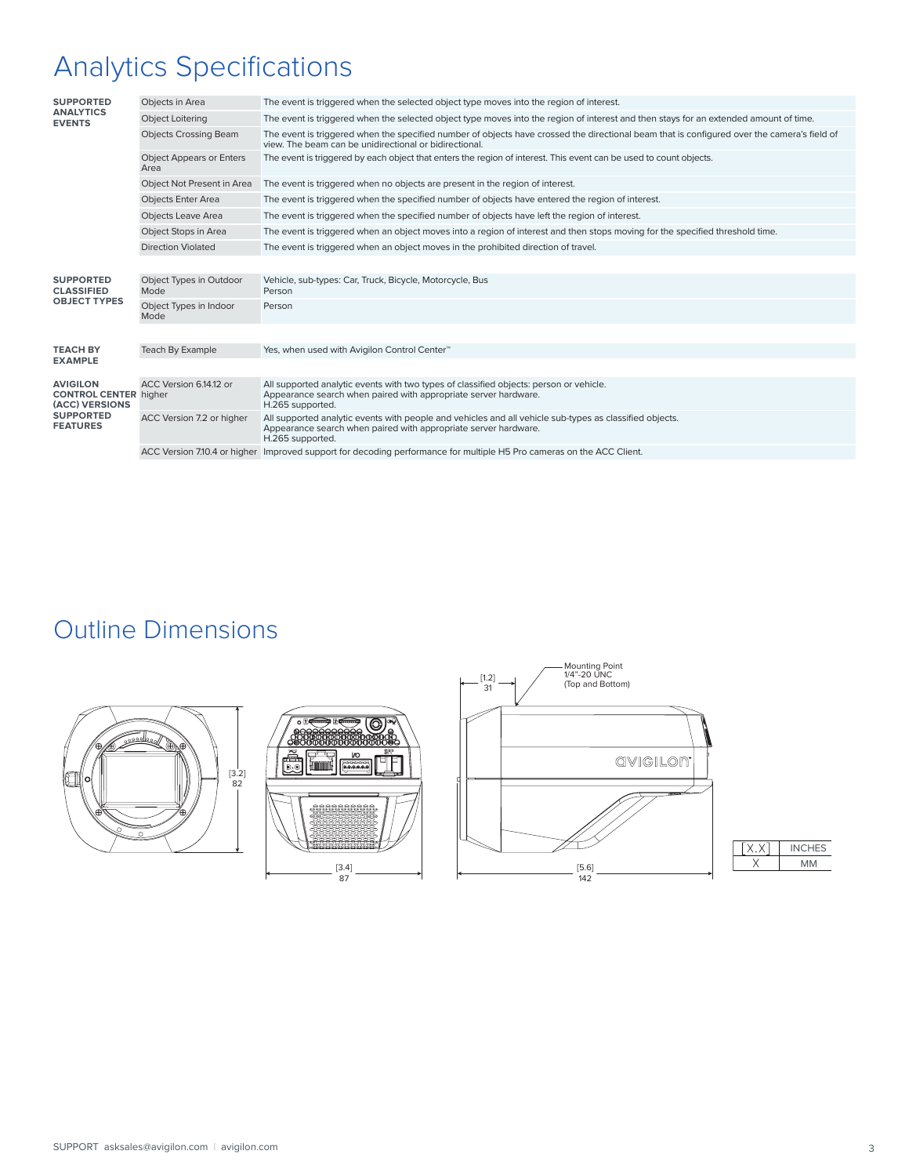# Analytics Specifications

| <b>SUPPORTED</b><br><b>ANALYTICS</b><br><b>EVENTS</b>                                                    | Objects in Area                         | The event is triggered when the selected object type moves into the region of interest.                                                                                                               |
|----------------------------------------------------------------------------------------------------------|-----------------------------------------|-------------------------------------------------------------------------------------------------------------------------------------------------------------------------------------------------------|
|                                                                                                          | <b>Object Loitering</b>                 | The event is triggered when the selected object type moves into the region of interest and then stays for an extended amount of time.                                                                 |
|                                                                                                          | <b>Objects Crossing Beam</b>            | The event is triggered when the specified number of objects have crossed the directional beam that is configured over the camera's field of<br>view. The beam can be unidirectional or bidirectional. |
|                                                                                                          | <b>Object Appears or Enters</b><br>Area | The event is triggered by each object that enters the region of interest. This event can be used to count objects.                                                                                    |
|                                                                                                          | Object Not Present in Area              | The event is triggered when no objects are present in the region of interest.                                                                                                                         |
|                                                                                                          | <b>Objects Enter Area</b>               | The event is triggered when the specified number of objects have entered the region of interest.                                                                                                      |
|                                                                                                          | <b>Objects Leave Area</b>               | The event is triggered when the specified number of objects have left the region of interest.                                                                                                         |
|                                                                                                          | Object Stops in Area                    | The event is triggered when an object moves into a region of interest and then stops moving for the specified threshold time.                                                                         |
|                                                                                                          | <b>Direction Violated</b>               | The event is triggered when an object moves in the prohibited direction of travel.                                                                                                                    |
|                                                                                                          |                                         |                                                                                                                                                                                                       |
| <b>SUPPORTED</b><br><b>CLASSIFIED</b><br><b>OBJECT TYPES</b>                                             | Object Types in Outdoor<br>Mode         | Vehicle, sub-types: Car, Truck, Bicycle, Motorcycle, Bus<br>Person                                                                                                                                    |
|                                                                                                          | Object Types in Indoor<br>Mode          | Person                                                                                                                                                                                                |
|                                                                                                          |                                         |                                                                                                                                                                                                       |
| <b>TEACH BY</b>                                                                                          | <b>Teach By Example</b>                 | Yes, when used with Avigilon Control Center™                                                                                                                                                          |
| <b>EXAMPLE</b>                                                                                           |                                         |                                                                                                                                                                                                       |
| <b>AVIGILON</b><br><b>CONTROL CENTER higher</b><br>(ACC) VERSIONS<br><b>SUPPORTED</b><br><b>FEATURES</b> | ACC Version 6.14.12 or                  | All supported analytic events with two types of classified objects: person or vehicle.<br>Appearance search when paired with appropriate server hardware.<br>H.265 supported.                         |
|                                                                                                          | ACC Version 7.2 or higher               | All supported analytic events with people and vehicles and all vehicle sub-types as classified objects.<br>Appearance search when paired with appropriate server hardware.<br>H.265 supported.        |
|                                                                                                          |                                         | ACC Version 7.10.4 or higher Improved support for decoding performance for multiple H5 Pro cameras on the ACC Client.                                                                                 |
|                                                                                                          |                                         |                                                                                                                                                                                                       |

## Outline Dimensions